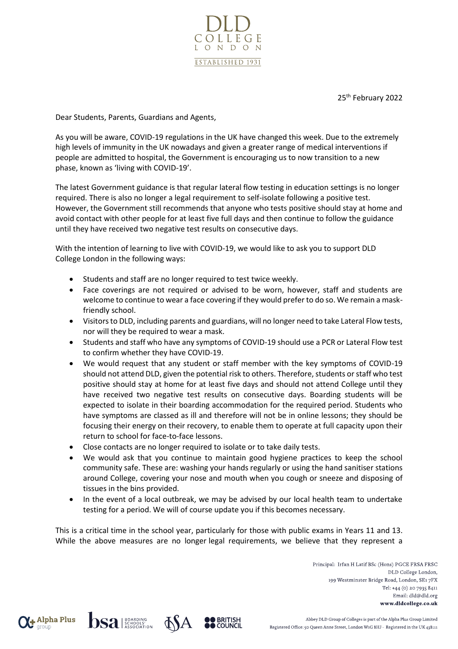

25<sup>th</sup> February 2022

Dear Students, Parents, Guardians and Agents,

As you will be aware, COVID-19 regulations in the UK have changed this week. Due to the extremely high levels of immunity in the UK nowadays and given a greater range of medical interventions if people are admitted to hospital, the Government is encouraging us to now transition to a new phase, known as 'living with COVID-19'.

The latest Government guidance is that regular lateral flow testing in education settings is no longer required. There is also no longer a legal requirement to self-isolate following a positive test. However, the Government still recommends that anyone who tests positive should stay at home and avoid contact with other people for at least five full days and then continue to follow the guidance until they have received two negative test results on consecutive days.

With the intention of learning to live with COVID-19, we would like to ask you to support DLD College London in the following ways:

- Students and staff are no longer required to test twice weekly.
- Face coverings are not required or advised to be worn, however, staff and students are welcome to continue to wear a face covering if they would prefer to do so. We remain a maskfriendly school.
- Visitors to DLD, including parents and guardians, will no longer need to take Lateral Flow tests, nor will they be required to wear a mask.
- Students and staff who have any symptoms of COVID-19 should use a PCR or Lateral Flow test to confirm whether they have COVID-19.
- We would request that any student or staff member with the key symptoms of COVID-19 should not attend DLD, given the potential risk to others. Therefore, students or staff who test positive should stay at home for at least five days and should not attend College until they have received two negative test results on consecutive days. Boarding students will be expected to isolate in their boarding accommodation for the required period. Students who have symptoms are classed as ill and therefore will not be in online lessons; they should be focusing their energy on their recovery, to enable them to operate at full capacity upon their return to school for face-to-face lessons.
- Close contacts are no longer required to isolate or to take daily tests.
- We would ask that you continue to maintain good hygiene practices to keep the school community safe. These are: washing your hands regularly or using the hand sanitiser stations around College, covering your nose and mouth when you cough or sneeze and disposing of tissues in the bins provided.
- In the event of a local outbreak, we may be advised by our local health team to undertake testing for a period. We will of course update you if this becomes necessary.

This is a critical time in the school year, particularly for those with public exams in Years 11 and 13. While the above measures are no longer legal requirements, we believe that they represent a

> Principal: Irfan H Latif BSc (Hons) PGCE FRSA FRSC DLD College London, 199 Westminster Bridge Road, London, SE1 7FX Tel: +44 (0) 20 7935 8411 Email: dld@dld.org www.dldcollege.co.uk